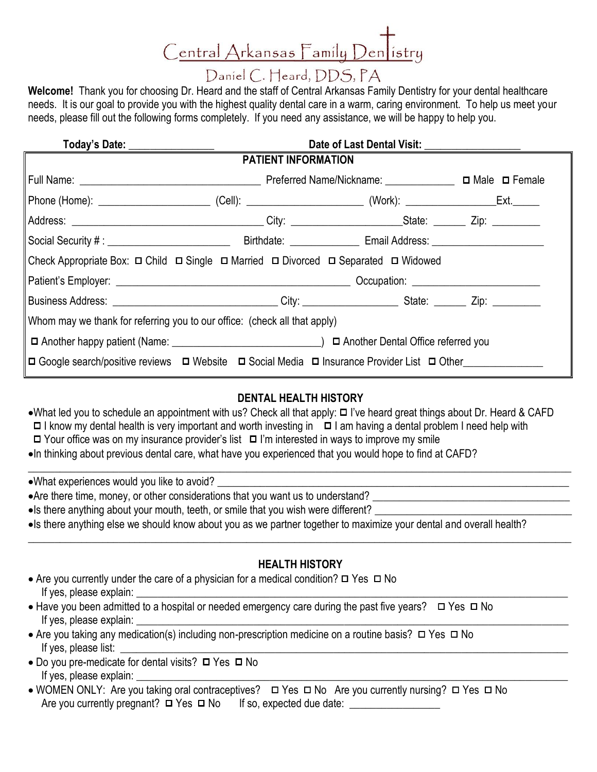# Central Arkansas Family Den istry

## Daniel C. Heard, DDS, PA

**Welcome!** Thank you for choosing Dr. Heard and the staff of Central Arkansas Family Dentistry for your dental healthcare needs. It is our goal to provide you with the highest quality dental care in a warm, caring environment. To help us meet your needs, please fill out the following forms completely. If you need any assistance, we will be happy to help you.

|                                                                                                                   | <b>PATIENT INFORMATION</b> |  |  |
|-------------------------------------------------------------------------------------------------------------------|----------------------------|--|--|
|                                                                                                                   |                            |  |  |
|                                                                                                                   |                            |  |  |
|                                                                                                                   |                            |  |  |
|                                                                                                                   |                            |  |  |
| Check Appropriate Box: □ Child □ Single □ Married □ Divorced □ Separated □ Widowed                                |                            |  |  |
|                                                                                                                   |                            |  |  |
| Business Address: _________________________________City: _______________________State: __________Zip: ___________ |                            |  |  |
| Whom may we thank for referring you to our office: (check all that apply)                                         |                            |  |  |
|                                                                                                                   |                            |  |  |
| □ Google search/positive reviews □ Website □ Social Media □ Insurance Provider List □ Other                       |                            |  |  |

### **DENTAL HEALTH HISTORY**

\_\_\_\_\_\_\_\_\_\_\_\_\_\_\_\_\_\_\_\_\_\_\_\_\_\_\_\_\_\_\_\_\_\_\_\_\_\_\_\_\_\_\_\_\_\_\_\_\_\_\_\_\_\_\_\_\_\_\_\_\_\_\_\_\_\_\_\_\_\_\_\_\_\_\_\_\_\_\_\_\_\_\_\_\_\_\_\_\_\_\_\_\_\_\_\_\_\_\_\_\_\_

- •What led you to schedule an appointment with us? Check all that apply: □ I've heard great things about Dr. Heard & CAFD  $\Box$  I know my dental health is very important and worth investing in  $\Box$  I am having a dental problem I need help with
- $\Box$  Your office was on my insurance provider's list  $\Box$  I'm interested in ways to improve my smile
- •In thinking about previous dental care, what have you experienced that you would hope to find at CAFD?

•What experiences would you like to avoid?

- Are there time, money, or other considerations that you want us to understand? \_\_\_\_\_\_\_\_\_\_\_\_\_\_\_\_\_\_\_\_\_\_\_\_\_\_\_\_\_\_\_\_\_\_\_\_\_
- Is there anything about your mouth, teeth, or smile that you wish were different?
- Is there anything else we should know about you as we partner together to maximize your dental and overall health?

#### **HEALTH HISTORY**

**\_\_\_\_\_\_\_\_\_\_\_\_\_\_\_\_\_\_\_\_\_\_\_\_\_\_\_\_\_\_\_\_\_\_\_\_\_\_\_\_\_\_\_\_\_\_\_\_\_\_\_\_\_\_\_\_\_\_\_\_\_\_\_\_\_\_\_\_\_\_\_\_\_\_\_\_\_\_\_\_\_\_\_\_\_\_\_\_\_\_\_\_\_\_\_\_\_\_\_\_\_\_**

- Are you currently under the care of a physician for a medical condition?  $\Box$  Yes  $\Box$  No If yes, please explain:
- $\bullet$  Have you been admitted to a hospital or needed emergency care during the past five years?  $\Box$  Yes  $\Box$  No If yes, please explain:
- Are you taking any medication(s) including non-prescription medicine on a routine basis?  $\Box$  Yes  $\Box$  No If yes, please list:
- $\bullet$  Do you pre-medicate for dental visits?  $\Box$  Yes  $\Box$  No If yes, please explain:
- WOMEN ONLY: Are you taking oral contraceptives?  $\Box$  Yes  $\Box$  No Are you currently nursing?  $\Box$  Yes  $\Box$  No Are you currently pregnant? Yes No If so, expected due date: \_\_\_\_\_\_\_\_\_\_\_\_\_\_\_\_\_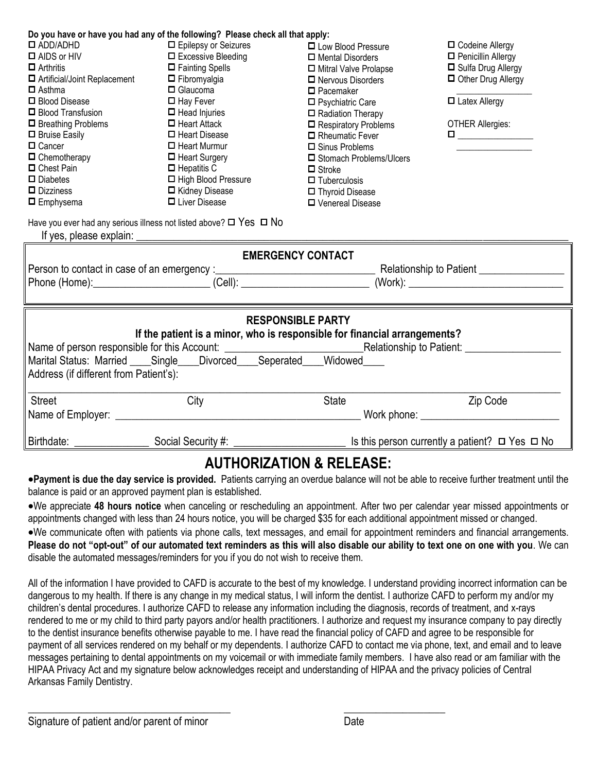| Do you have or have you had any of the following? Please check all that apply: |                           |                                                                                |                                                                                                                                                     |  |
|--------------------------------------------------------------------------------|---------------------------|--------------------------------------------------------------------------------|-----------------------------------------------------------------------------------------------------------------------------------------------------|--|
| $\square$ ADD/ADHD                                                             | □ Epilepsy or Seizures    | □ Low Blood Pressure                                                           | □ Codeine Allergy                                                                                                                                   |  |
| $\Box$ AIDS or HIV                                                             | $\Box$ Excessive Bleeding | □ Mental Disorders                                                             | Penicillin Allergy                                                                                                                                  |  |
| $\Box$ Arthritis                                                               | $\Box$ Fainting Spells    | Mitral Valve Prolapse                                                          | □ Sulfa Drug Allergy                                                                                                                                |  |
| □ Artificial/Joint Replacement                                                 | $\Box$ Fibromyalgia       | □ Nervous Disorders                                                            | Other Drug Allergy                                                                                                                                  |  |
| $\Box$ Asthma                                                                  | $\Box$ Glaucoma           | $\Box$ Pacemaker                                                               |                                                                                                                                                     |  |
| □ Blood Disease                                                                | $\Box$ Hay Fever          | □ Psychiatric Care                                                             | $\Box$ Latex Allergy                                                                                                                                |  |
| □ Blood Transfusion                                                            | $\Box$ Head Injuries      | $\Box$ Radiation Therapy                                                       |                                                                                                                                                     |  |
| $\Box$ Breathing Problems                                                      | $\Box$ Heart Attack       | $\Box$ Respiratory Problems                                                    | <b>OTHER Allergies:</b>                                                                                                                             |  |
| $\Box$ Bruise Easily                                                           | $\Box$ Heart Disease      | Rheumatic Fever                                                                | $\begin{tabular}{ c c c } \hline \quad \quad & \quad \quad & \quad \quad \\ \hline \quad \quad & \quad \quad & \quad \quad \\ \hline \end{tabular}$ |  |
| $\Box$ Cancer                                                                  | $\Box$ Heart Murmur       | $\Box$ Sinus Problems                                                          |                                                                                                                                                     |  |
| $\Box$ Chemotherapy                                                            | $\Box$ Heart Surgery      | □ Stomach Problems/Ulcers                                                      |                                                                                                                                                     |  |
| □ Chest Pain                                                                   | $\Box$ Hepatitis C        | $\Box$ Stroke                                                                  |                                                                                                                                                     |  |
| $\Box$ Diabetes                                                                | □ High Blood Pressure     | $\Box$ Tuberculosis                                                            |                                                                                                                                                     |  |
| $\Box$ Dizziness                                                               | □ Kidney Disease          | □ Thyroid Disease                                                              |                                                                                                                                                     |  |
| $\Box$ Emphysema                                                               | □ Liver Disease           | □ Venereal Disease                                                             |                                                                                                                                                     |  |
| Have you ever had any serious illness not listed above? $\Box$ Yes $\Box$ No   |                           |                                                                                |                                                                                                                                                     |  |
|                                                                                |                           |                                                                                |                                                                                                                                                     |  |
|                                                                                |                           | <b>EMERGENCY CONTACT</b>                                                       |                                                                                                                                                     |  |
|                                                                                |                           |                                                                                |                                                                                                                                                     |  |
|                                                                                |                           |                                                                                |                                                                                                                                                     |  |
|                                                                                |                           |                                                                                |                                                                                                                                                     |  |
|                                                                                |                           |                                                                                |                                                                                                                                                     |  |
|                                                                                |                           | <b>RESPONSIBLE PARTY</b>                                                       |                                                                                                                                                     |  |
|                                                                                |                           | If the patient is a minor, who is responsible for financial arrangements?      |                                                                                                                                                     |  |
|                                                                                |                           |                                                                                |                                                                                                                                                     |  |
|                                                                                |                           | Marital Status: Married ____Single ___ Divorced ___ Seperated ___ Widowed ____ |                                                                                                                                                     |  |
| Address (if different from Patient's):                                         |                           |                                                                                |                                                                                                                                                     |  |
|                                                                                |                           |                                                                                |                                                                                                                                                     |  |
| <b>Street</b>                                                                  |                           | <b>State</b>                                                                   |                                                                                                                                                     |  |
|                                                                                | City                      |                                                                                | Zip Code                                                                                                                                            |  |
|                                                                                |                           |                                                                                |                                                                                                                                                     |  |
| Birthdate:                                                                     | Social Security #:        |                                                                                | Is this person currently a patient? $\Box$ Yes $\Box$ No                                                                                            |  |

## **AUTHORIZATION & RELEASE:**

**Payment is due the day service is provided.** Patients carrying an overdue balance will not be able to receive further treatment until the balance is paid or an approved payment plan is established.

We appreciate **48 hours notice** when canceling or rescheduling an appointment. After two per calendar year missed appointments or appointments changed with less than 24 hours notice, you will be charged \$35 for each additional appointment missed or changed.

We communicate often with patients via phone calls, text messages, and email for appointment reminders and financial arrangements. **Please do not "opt-out" of our automated text reminders as this will also disable our ability to text one on one with you**. We can disable the automated messages/reminders for you if you do not wish to receive them.

All of the information I have provided to CAFD is accurate to the best of my knowledge. I understand providing incorrect information can be dangerous to my health. If there is any change in my medical status, I will inform the dentist. I authorize CAFD to perform my and/or my children's dental procedures. I authorize CAFD to release any information including the diagnosis, records of treatment, and x-rays rendered to me or my child to third party payors and/or health practitioners. I authorize and request my insurance company to pay directly to the dentist insurance benefits otherwise payable to me. I have read the financial policy of CAFD and agree to be responsible for payment of all services rendered on my behalf or my dependents. I authorize CAFD to contact me via phone, text, and email and to leave messages pertaining to dental appointments on my voicemail or with immediate family members. I have also read or am familiar with the HIPAA Privacy Act and my signature below acknowledges receipt and understanding of HIPAA and the privacy policies of Central Arkansas Family Dentistry.

 $\overline{\phantom{a}}$  , and the contract of the contract of the contract of the contract of the contract of the contract of the contract of the contract of the contract of the contract of the contract of the contract of the contrac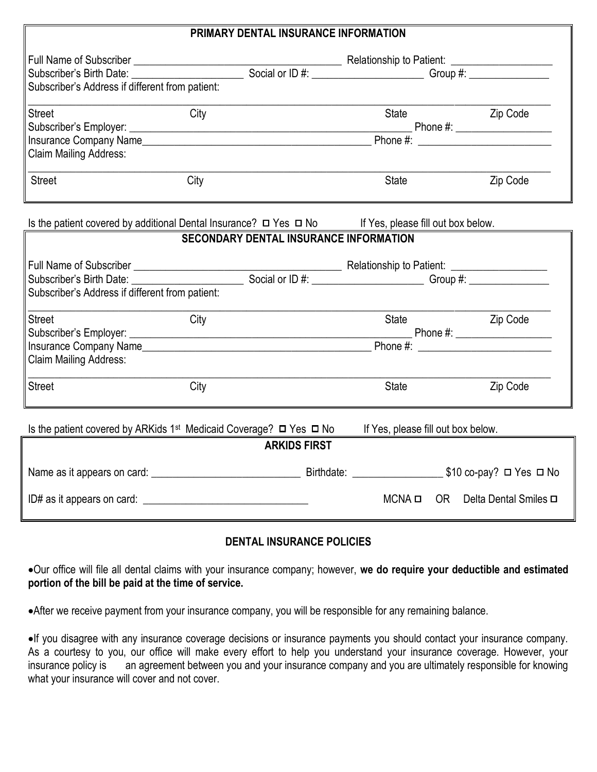| PRIMARY DENTAL INSURANCE INFORMATION                               |                                                                   |                                                                                                                                                                                                                                |          |  |  |
|--------------------------------------------------------------------|-------------------------------------------------------------------|--------------------------------------------------------------------------------------------------------------------------------------------------------------------------------------------------------------------------------|----------|--|--|
| Full Name of Subscriber ___________                                |                                                                   | Relationship to Patient: _______________                                                                                                                                                                                       |          |  |  |
| Subscriber's Birth Date: <b>Markeller</b> Subscriber's Birth Date: |                                                                   | Social or ID #: _________________________________Group #: ______________________                                                                                                                                               |          |  |  |
| Subscriber's Address if different from patient:                    |                                                                   |                                                                                                                                                                                                                                |          |  |  |
| <b>Street</b>                                                      | City                                                              | <b>State</b>                                                                                                                                                                                                                   | Zip Code |  |  |
| Subscriber's Employer: _____                                       |                                                                   | Phone #: and the state of the state of the state of the state of the state of the state of the state of the state of the state of the state of the state of the state of the state of the state of the state of the state of t |          |  |  |
|                                                                    | Insurance Company Name                                            |                                                                                                                                                                                                                                |          |  |  |
| <b>Claim Mailing Address:</b>                                      |                                                                   |                                                                                                                                                                                                                                |          |  |  |
| <b>Street</b>                                                      | City                                                              | <b>State</b>                                                                                                                                                                                                                   | Zip Code |  |  |
|                                                                    | Is the patient covered by additional Dental Insurance? □ Yes □ No | If Yes, please fill out box below.                                                                                                                                                                                             |          |  |  |
|                                                                    | SECONDARY DENTAL INSURANCE INFORMATION                            |                                                                                                                                                                                                                                |          |  |  |

|                                                 | <u>ULUUNDAN LULIVIAL INUUNANUL INI UNIIATIUN</u>                                                                                                                                                                             |                                    |                                 |  |  |
|-------------------------------------------------|------------------------------------------------------------------------------------------------------------------------------------------------------------------------------------------------------------------------------|------------------------------------|---------------------------------|--|--|
|                                                 |                                                                                                                                                                                                                              |                                    |                                 |  |  |
|                                                 |                                                                                                                                                                                                                              |                                    |                                 |  |  |
| Subscriber's Address if different from patient: |                                                                                                                                                                                                                              |                                    |                                 |  |  |
| <b>Street</b>                                   | City                                                                                                                                                                                                                         | State                              | Zip Code                        |  |  |
|                                                 |                                                                                                                                                                                                                              |                                    |                                 |  |  |
|                                                 |                                                                                                                                                                                                                              |                                    |                                 |  |  |
| <b>Claim Mailing Address:</b>                   |                                                                                                                                                                                                                              |                                    |                                 |  |  |
| <b>Street</b>                                   | City                                                                                                                                                                                                                         | State                              | Zip Code                        |  |  |
|                                                 | Is the patient covered by ARKids 1 <sup>st</sup> Medicaid Coverage? $\Box$ Yes $\Box$ No                                                                                                                                     | If Yes, please fill out box below. |                                 |  |  |
|                                                 | <b>ARKIDS FIRST</b>                                                                                                                                                                                                          |                                    |                                 |  |  |
|                                                 | Name as it appears on card: 1990 and 200 and 200 and 200 and 200 and 200 and 200 and 200 and 200 and 200 and 200 and 200 and 200 and 200 and 200 and 200 and 200 and 200 and 200 and 200 and 200 and 200 and 200 and 200 and |                                    |                                 |  |  |
| ID# as it appears on card: $\frac{1}{2}$        |                                                                                                                                                                                                                              | MCNA <b>□</b>                      | OR Delta Dental Smiles <b>□</b> |  |  |

#### **DENTAL INSURANCE POLICIES**

Our office will file all dental claims with your insurance company; however, **we do require your deductible and estimated portion of the bill be paid at the time of service.**

After we receive payment from your insurance company, you will be responsible for any remaining balance.

If you disagree with any insurance coverage decisions or insurance payments you should contact your insurance company. As a courtesy to you, our office will make every effort to help you understand your insurance coverage. However, your insurance policy is an agreement between you and your insurance company and you are ultimately responsib an agreement between you and your insurance company and you are ultimately responsible for knowing what your insurance will cover and not cover.